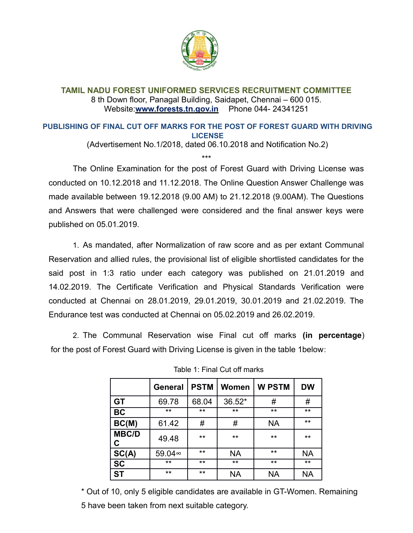

## **TAMIL NADU FOREST UNIFORMED SERVICES RECRUITMENT COMMITTEE** 8 th Down floor, Panagal Building, Saidapet, Chennai – 600 015. Website:**www.forests.tn.gov.in** Phone 044- 24341251

## **PUBLISHING OF FINAL CUT OFF MARKS FOR THE POST OF FOREST GUARD WITH DRIVING LICENSE**

(Advertisement No.1/2018, dated 06.10.2018 and Notification No.2)

\*\*\*

The Online Examination for the post of Forest Guard with Driving License was conducted on 10.12.2018 and 11.12.2018. The Online Question Answer Challenge was made available between 19.12.2018 (9.00 AM) to 21.12.2018 (9.00AM). The Questions and Answers that were challenged were considered and the final answer keys were published on 05.01.2019.

1. As mandated, after Normalization of raw score and as per extant Communal Reservation and allied rules, the provisional list of eligible shortlisted candidates for the said post in 1:3 ratio under each category was published on 21.01.2019 and 14.02.2019. The Certificate Verification and Physical Standards Verification were conducted at Chennai on 28.01.2019, 29.01.2019, 30.01.2019 and 21.02.2019. The Endurance test was conducted at Chennai on 05.02.2019 and 26.02.2019.

2. The Communal Reservation wise Final cut off marks **(in percentage**) for the post of Forest Guard with Driving License is given in the table 1below:

|                   | <b>General</b> | <b>PSTM</b> | Women        | <b>W PSTM</b> | <b>DW</b> |
|-------------------|----------------|-------------|--------------|---------------|-----------|
| <b>GT</b>         | 69.78          | 68.04       | 36.52*       | #             | #         |
| <b>BC</b>         | $***$          | $***$       | $\star\star$ | **            | $***$     |
| BC(M)             | 61.42          | #           | #            | <b>NA</b>     | $***$     |
| <b>MBC/D</b><br>C | 49.48          | $***$       | $\star\star$ | **            | $***$     |
| $rac{SC(A)}{SC}$  | 59.04∞         | $***$       | <b>NA</b>    | $***$         | <b>NA</b> |
|                   | $***$          | $***$       | $\star\star$ | $***$         | $***$     |
| <b>ST</b>         | **             | $***$       | NA           | <b>NA</b>     | NA        |

|  |  |  |  |  | Table 1: Final Cut off marks |
|--|--|--|--|--|------------------------------|
|--|--|--|--|--|------------------------------|

\* Out of 10, only 5 eligible candidates are available in GT-Women. Remaining 5 have been taken from next suitable category.